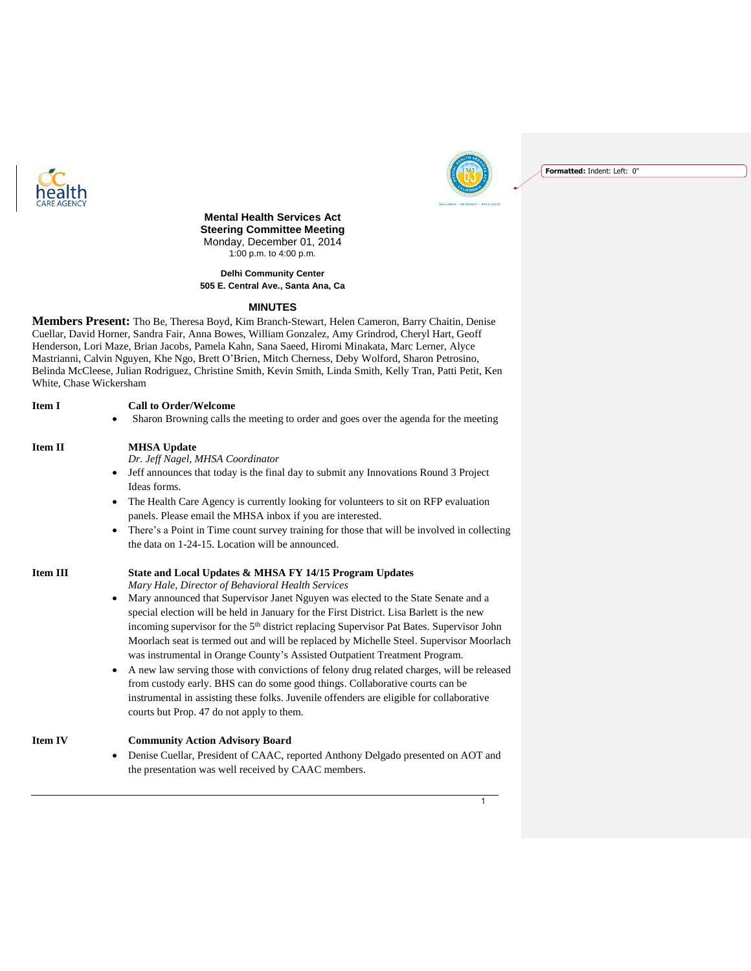



**Formatted:** Indent: Left: 0"

### **Mental Health Services Act Steering Committee Meeting** Monday, December 01, 2014 1:00 p.m. to 4:00 p.m.

**Delhi Community Center 505 E. Central Ave., Santa Ana, Ca**

#### **MINUTES**

**Members Present:** Tho Be, Theresa Boyd, Kim Branch-Stewart, Helen Cameron, Barry Chaitin, Denise Cuellar, David Horner, Sandra Fair, Anna Bowes, William Gonzalez, Amy Grindrod, Cheryl Hart, Geoff Henderson, Lori Maze, Brian Jacobs, Pamela Kahn, Sana Saeed, Hiromi Minakata, Marc Lerner, Alyce Mastrianni, Calvin Nguyen, Khe Ngo, Brett O'Brien, Mitch Cherness, Deby Wolford, Sharon Petrosino, Belinda McCleese, Julian Rodriguez, Christine Smith, Kevin Smith, Linda Smith, Kelly Tran, Patti Petit, Ken White, Chase Wickersham

**Item I Call to Order/Welcome Item II MHSA Update**

# Sharon Browning calls the meeting to order and goes over the agenda for the meeting

*Dr. Jeff Nagel, MHSA Coordinator*

- Jeff announces that today is the final day to submit any Innovations Round 3 Project Ideas forms.
- The Health Care Agency is currently looking for volunteers to sit on RFP evaluation panels. Please email the MHSA inbox if you are interested.
- There's a Point in Time count survey training for those that will be involved in collecting the data on 1-24-15. Location will be announced.

| Item III | State and Local Updates & MHSA FY 14/15 Program Updates |
|----------|---------------------------------------------------------|
|          | Mary Hale, Director of Behavioral Health Services       |

- Mary announced that Supervisor Janet Nguyen was elected to the State Senate and a special election will be held in January for the First District. Lisa Barlett is the new incoming supervisor for the 5<sup>th</sup> district replacing Supervisor Pat Bates. Supervisor John Moorlach seat is termed out and will be replaced by Michelle Steel. Supervisor Moorlach was instrumental in Orange County's Assisted Outpatient Treatment Program.
- A new law serving those with convictions of felony drug related charges, will be released from custody early. BHS can do some good things. Collaborative courts can be instrumental in assisting these folks. Juvenile offenders are eligible for collaborative courts but Prop. 47 do not apply to them.

# **Item IV Community Action Advisory Board**

 Denise Cuellar, President of CAAC, reported Anthony Delgado presented on AOT and the presentation was well received by CAAC members.